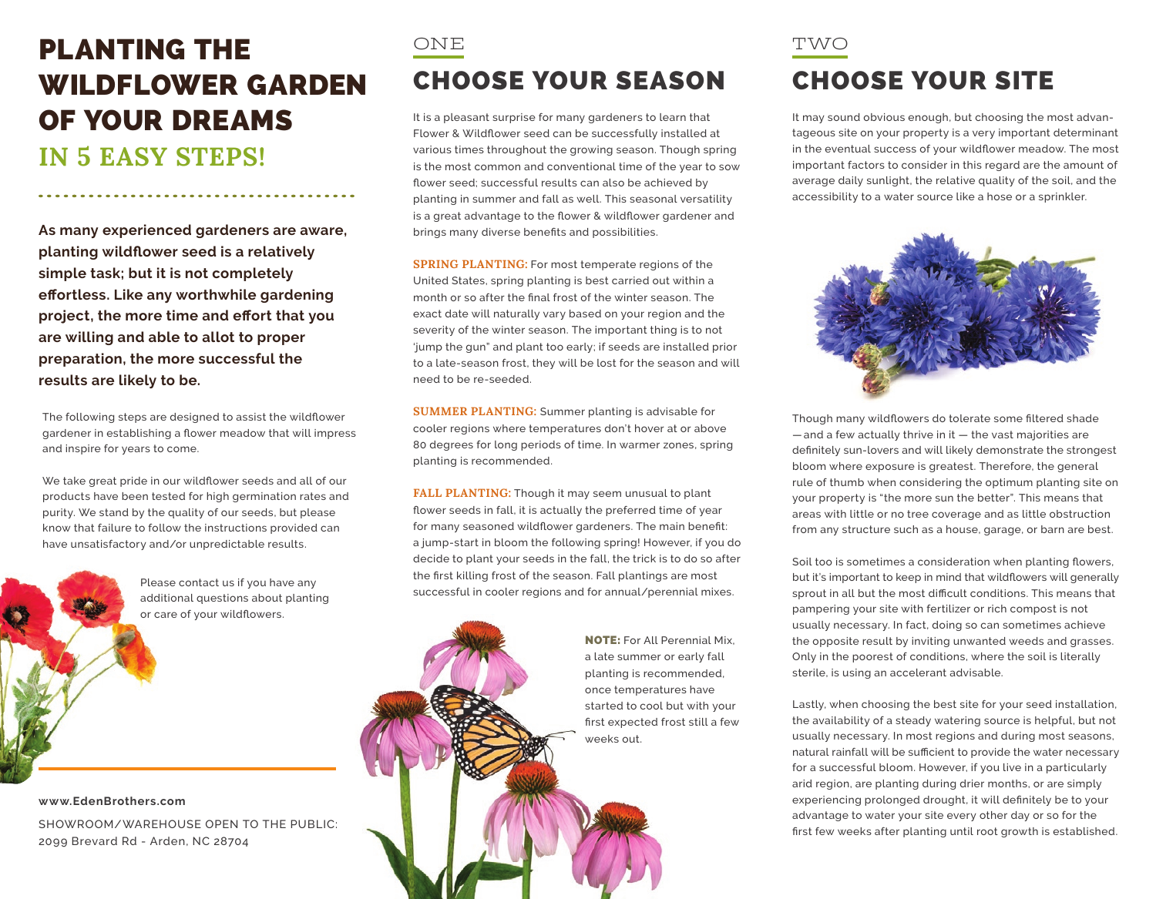## PLANTING THE WILDFLOWER GARDEN OF YOUR DREAMS **IN 5 EASY STEPS!**

**As many experienced gardeners are aware, planting wildflower seed is a relatively simple task; but it is not completely effortless. Like any worthwhile gardening project, the more time and effort that you are willing and able to allot to proper preparation, the more successful the results are likely to be.**

The following steps are designed to assist the wildflower gardener in establishing a flower meadow that will impress and inspire for years to come.

We take great pride in our wildflower seeds and all of our products have been tested for high germination rates and purity. We stand by the quality of our seeds, but please know that failure to follow the instructions provided can have unsatisfactory and/or unpredictable results.

> Please contact us if you have any additional questions about planting or care of your wildflowers.

**www.EdenBrothers.com**

SHOWROOM/WAREHOUSE OPEN TO THE PUBLIC: 2099 Brevard Rd - Arden, NC 28704

### ONE CHOOSE YOUR SEASON

It is a pleasant surprise for many gardeners to learn that Flower & Wildflower seed can be successfully installed at various times throughout the growing season. Though spring is the most common and conventional time of the year to sow flower seed; successful results can also be achieved by planting in summer and fall as well. This seasonal versatility is a great advantage to the flower & wildflower gardener and brings many diverse benefits and possibilities.

**SPRING PLANTING:** For most temperate regions of the United States, spring planting is best carried out within a month or so after the final frost of the winter season. The exact date will naturally vary based on your region and the severity of the winter season. The important thing is to not 'jump the gun" and plant too early; if seeds are installed prior to a late-season frost, they will be lost for the season and will need to be re-seeded.

**SUMMER PLANTING:** Summer planting is advisable for cooler regions where temperatures don't hover at or above 80 degrees for long periods of time. In warmer zones, spring planting is recommended.

**FALL PLANTING:** Though it may seem unusual to plant flower seeds in fall, it is actually the preferred time of year for many seasoned wildflower gardeners. The main benefit: a jump-start in bloom the following spring! However, if you do decide to plant your seeds in the fall, the trick is to do so after the first killing frost of the season. Fall plantings are most successful in cooler regions and for annual/perennial mixes.

> NOTE: For All Perennial Mix, a late summer or early fall planting is recommended, once temperatures have started to cool but with your first expected frost still a few weeks out.

#### TWO CHOOSE YOUR SITE

It may sound obvious enough, but choosing the most advantageous site on your property is a very important determinant in the eventual success of your wildflower meadow. The most important factors to consider in this regard are the amount of average daily sunlight, the relative quality of the soil, and the accessibility to a water source like a hose or a sprinkler.



Though many wildflowers do tolerate some filtered shade  $-$  and a few actually thrive in it  $-$  the vast majorities are definitely sun-lovers and will likely demonstrate the strongest bloom where exposure is greatest. Therefore, the general rule of thumb when considering the optimum planting site on your property is "the more sun the better". This means that areas with little or no tree coverage and as little obstruction from any structure such as a house, garage, or barn are best.

Soil too is sometimes a consideration when planting flowers, but it's important to keep in mind that wildflowers will generally sprout in all but the most difficult conditions. This means that pampering your site with fertilizer or rich compost is not usually necessary. In fact, doing so can sometimes achieve the opposite result by inviting unwanted weeds and grasses. Only in the poorest of conditions, where the soil is literally sterile, is using an accelerant advisable.

Lastly, when choosing the best site for your seed installation, the availability of a steady watering source is helpful, but not usually necessary. In most regions and during most seasons, natural rainfall will be sufficient to provide the water necessary for a successful bloom. However, if you live in a particularly arid region, are planting during drier months, or are simply experiencing prolonged drought, it will definitely be to your advantage to water your site every other day or so for the first few weeks after planting until root growth is established.